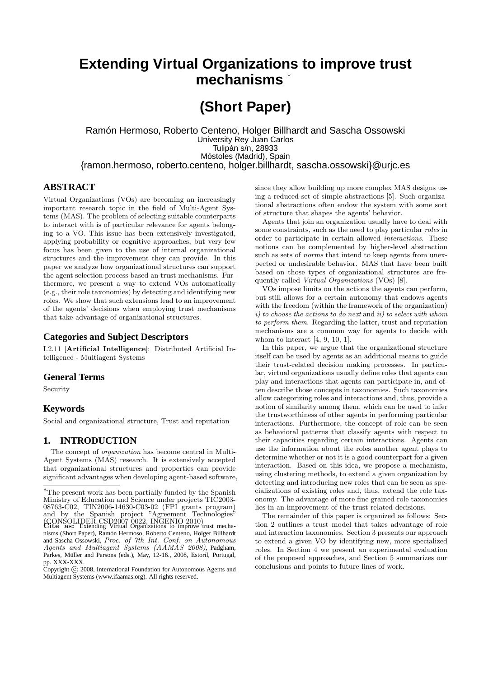# **Extending Virtual Organizations to improve trust mechanisms** <sup>∗</sup>

# **(Short Paper)**

Ramón Hermoso, Roberto Centeno, Holger Billhardt and Sascha Ossowski University Rey Juan Carlos Tulipán s/n, 28933 Móstoles (Madrid), Spain {ramon.hermoso, roberto.centeno, holger.billhardt, sascha.ossowski}@urjc.es

## **ABSTRACT**

Virtual Organizations (VOs) are becoming an increasingly important research topic in the field of Multi-Agent Systems (MAS). The problem of selecting suitable counterparts to interact with is of particular relevance for agents belonging to a VO. This issue has been extensively investigated, applying probability or cognitive approaches, but very few focus has been given to the use of internal organizational structures and the improvement they can provide. In this paper we analyze how organizational structures can support the agent selection process based an trust mechanisms. Furthermore, we present a way to extend VOs automatically (e.g., their role taxonomies) by detecting and identifying new roles. We show that such extensions lead to an improvement of the agents' decisions when employing trust mechanisms that take advantage of organizational structures.

### **Categories and Subject Descriptors**

I.2.11 [Artificial Intelligence]: Distributed Artificial Intelligence - Multiagent Systems

## **General Terms**

Security

## **Keywords**

Social and organizational structure, Trust and reputation

## **1. INTRODUCTION**

The concept of *organization* has become central in Multi-Agent Systems (MAS) research. It is extensively accepted that organizational structures and properties can provide significant advantages when developing agent-based software,

since they allow building up more complex MAS designs using a reduced set of simple abstractions [5]. Such organizational abstractions often endow the system with some sort of structure that shapes the agents' behavior.

Agents that join an organization usually have to deal with some constraints, such as the need to play particular roles in order to participate in certain allowed interactions. These notions can be complemented by higher-level abstraction such as sets of *norms* that intend to keep agents from unexpected or undesirable behavior. MAS that have been built based on those types of organizational structures are frequently called Virtual Organizations (VOs) [8].

VOs impose limits on the actions the agents can perform, but still allows for a certain autonomy that endows agents with the freedom (within the framework of the organization) i) to choose the actions to do next and ii) to select with whom to perform them. Regarding the latter, trust and reputation mechanisms are a common way for agents to decide with whom to interact [4, 9, 10, 1].

In this paper, we argue that the organizational structure itself can be used by agents as an additional means to guide their trust-related decision making processes. In particular, virtual organizations usually define roles that agents can play and interactions that agents can participate in, and often describe those concepts in taxonomies. Such taxonomies allow categorizing roles and interactions and, thus, provide a notion of similarity among them, which can be used to infer the trustworthiness of other agents in performing particular interactions. Furthermore, the concept of role can be seen as behavioral patterns that classify agents with respect to their capacities regarding certain interactions. Agents can use the information about the roles another agent plays to determine whether or not it is a good counterpart for a given interaction. Based on this idea, we propose a mechanism, using clustering methods, to extend a given organization by detecting and introducing new roles that can be seen as specializations of existing roles and, thus, extend the role taxonomy. The advantage of more fine grained role taxonomies lies in an improvement of the trust related decisions.

The remainder of this paper is organized as follows: Section 2 outlines a trust model that takes advantage of role and interaction taxonomies. Section 3 presents our approach to extend a given VO by identifying new, more specialized roles. In Section 4 we present an experimental evaluation of the proposed approaches, and Section 5 summarizes our conclusions and points to future lines of work.

<sup>∗</sup>The present work has been partially funded by the Spanish Ministry of Education and Science under projects TIC2003- 08763-C02, TIN2006-14630-C03-02 (FPI grants program) and by the Spanish project "Agreement Technologies" (CONSOLIDER CSD2007-0022, INGENIO 2010) Cite as: Extending Virtual Organizations to improve trust mecha-

nisms (Short Paper), Ramón Hermoso, Roberto Centeno, Holger Billhardt and Sascha Ossowski, Proc. of 7th Int. Conf. on Autonomous Agents and Multiagent Systems (AAMAS 2008), Padgham, Parkes, Müller and Parsons (eds.), May, 12-16., 2008, Estoril, Portugal, pp. XXX-XXX.

 $\overline{C}$ opyright  $\overline{C}$  2008, International Foundation for Autonomous Agents and Multiagent Systems (www.ifaamas.org). All rights reserved.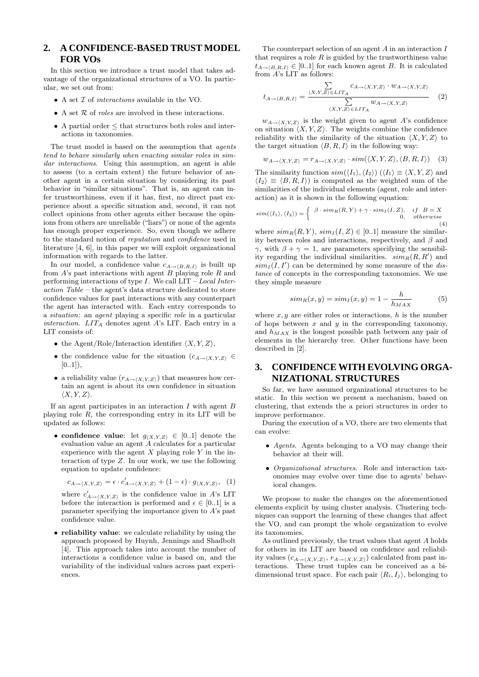## **2. A CONFIDENCE-BASED TRUST MODEL FOR VOs**

In this section we introduce a trust model that takes advantage of the organizational structures of a VO. In particular, we set out from:

- $\bullet$  A set  $\mathcal I$  of  $interactions$  available in the VO.
- A set  $R$  of *roles* are involved in these interactions.
- A partial order  $\leq$  that structures both roles and interactions in taxonomies.

The trust model is based on the assumption that agents tend to behave similarly when enacting similar roles in similar interactions. Using this assumption, an agent is able to assess (to a certain extent) the future behavior of another agent in a certain situation by considering its past behavior in "similar situations". That is, an agent can infer trustworthiness, even if it has, first, no direct past experience about a specific situation and, second, it can not collect opinions from other agents either because the opinions from others are unreliable ("liars") or none of the agents has enough proper experience. So, even though we adhere to the standard notion of reputation and confidence used in literature [4, 6], in this paper we will exploit organizational information with regards to the latter.

In our model, a confidence value  $c_{A\rightarrow\langle B,R,I\rangle}$  is built up from  $A$ 's past interactions with agent  $B$  playing role  $R$  and performing interactions of type  $I$ . We call  $LIT - Local Inter$ action Table – the agent's data structure dedicated to store confidence values for past interactions with any counterpart the agent has interacted with. Each entry corresponds to a situation: an agent playing a specific role in a particular interaction.  $LIT_A$  denotes agent A's LIT. Each entry in a LIT consists of:

- the Agent/Role/Interaction identifier  $\langle X, Y, Z \rangle$ ,
- the confidence value for the situation  $(c_{A\rightarrow\langle X,Y,Z\rangle} \in$  $[0..1]),$
- a reliability value  $(r_{A\rightarrow\langle X,Y,Z\rangle})$  that measures how certain an agent is about its own confidence in situation  $\langle X, Y, Z \rangle$ .

If an agent participates in an interaction  $I$  with agent  $B$ playing role  $R$ , the corresponding entry in its LIT will be updated as follows:

• confidence value: let  $g_{(X,Y,Z)} \in [0,1]$  denote the evaluation value an agent A calculates for a particular experience with the agent  $X$  playing role  $Y$  in the interaction of type Z. In our work, we use the following equation to update confidence:

$$
c_{A\to\langle X,Y,Z\rangle} = \epsilon \cdot c'_{A\to\langle X,Y,Z\rangle} + (1 - \epsilon) \cdot g_{\langle X,Y,Z\rangle}, \tag{1}
$$

where  $c'_{A\to\langle X,Y,Z\rangle}$  is the confidence value in A's LIT before the interaction is performed and  $\epsilon \in [0..1]$  is a parameter specifying the importance given to A's past confidence value.

• reliability value: we calculate reliability by using the approach proposed by Huynh, Jennings and Shadbolt [4]. This approach takes into account the number of interactions a confidence value is based on, and the variability of the individual values across past experiences.

The counterpart selection of an agent  $A$  in an interaction  $I$ that requires a role  $R$  is guided by the trustworthiness value  $t_{A\rightarrow\langle B,R,I\rangle} \in [0.1]$  for each known agent B. It is calculated from  $A$ 's LIT as follows:

$$
t_{A \to \langle B,R,I \rangle} = \frac{\sum\limits_{\langle X,Y,Z \rangle \in LIT_A} c_{A \to \langle X,Y,Z \rangle} \cdot w_{A \to \langle X,Y,Z \rangle}}{\sum\limits_{\langle X,Y,Z \rangle \in LIT_A} w_{A \to \langle X,Y,Z \rangle}} \tag{2}
$$

 $w_{A\to\langle X,Y,Z\rangle}$  is the weight given to agent A's confidence on situation  $\langle X, Y, Z \rangle$ . The weights combine the confidence reliability with the similarity of the situation  $\langle X, Y, Z \rangle$  to the target situation  $\langle B, R, I \rangle$  in the following way:

$$
w_{A \to \langle X, Y, Z \rangle} = r_{A \to \langle X, Y, Z \rangle} \cdot sim(\langle X, Y, Z \rangle, \langle B, R, I \rangle) \tag{3}
$$

The similarity function  $sim(\langle I_1 \rangle, \langle I_2 \rangle)$   $(\langle I_1 \rangle \equiv \langle X, Y, Z \rangle)$  and  $\langle I_2 \rangle \equiv \langle B, R, I \rangle$  is computed as the weighted sum of the similarities of the individual elements (agent, role and interaction) as it is shown in the following equation:

$$
sim(\langle I_1 \rangle, \langle I_2 \rangle) = \begin{cases} \beta \cdot sim_R(R, Y) + \gamma \cdot sim_I(I, Z), & if \ B = X \\ 0, & otherwise \end{cases}
$$
(4)

where  $sim_R(R, Y)$ ,  $sim_I(I, Z) \in [0..1]$  measure the similarity between roles and interactions, respectively, and  $\beta$  and  $γ$ , with  $β + γ = 1$ , are parameters specifying the sensibility regarding the individual similarities.  $sim_R(R, R')$  and  $sim_I(I, I')$  can be determined by some measure of the distance of concepts in the corresponding taxonomies. We use they simple measure

$$
sim_R(x,y) = sim_I(x,y) = 1 - \frac{h}{h_{MAX}} \tag{5}
$$

where  $x, y$  are either roles or interactions, h is the number of hops between  $x$  and  $y$  in the corresponding taxonomy, and  $h_{MAX}$  is the longest possible path between any pair of elements in the hierarchy tree. Other functions have been described in [2].

# **3. CONFIDENCE WITH EVOLVING ORGA-NIZATIONAL STRUCTURES**

So far, we have assumed organizational structures to be static. In this section we present a mechanism, based on clustering, that extends the a priori structures in order to improve performance.

During the execution of a VO, there are two elements that can evolve:

- Agents. Agents belonging to a VO may change their behavior at their will.
- Organizational structures. Role and interaction taxonomies may evolve over time due to agents' behavioral changes.

We propose to make the changes on the aforementioned elements explicit by using cluster analysis. Clustering techniques can support the learning of these changes that affect the VO, and can prompt the whole organization to evolve its taxonomies.

As outlined previously, the trust values that agent A holds for others in its LIT are based on confidence and reliability values  $(c_{A\rightarrow\langle X,Y,Z\rangle}, r_{A\rightarrow\langle X,Y,Z\rangle})$  calculated from past interactions. These trust tuples can be conceived as a bidimensional trust space. For each pair  $\langle R_i, I_j \rangle$ , belonging to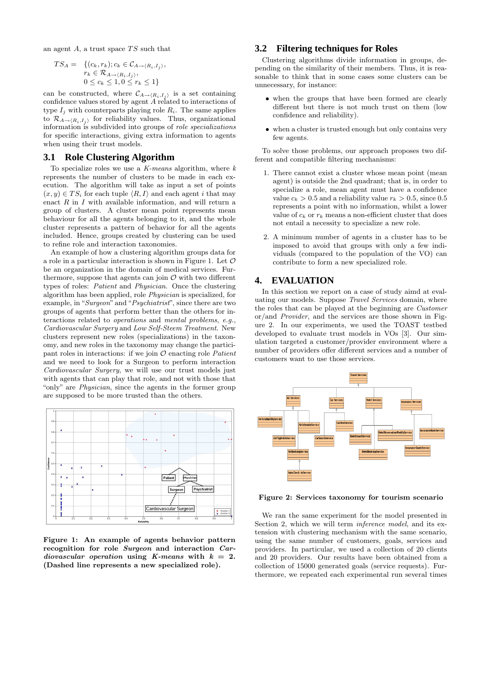an agent  $A$ , a trust space  $TS$  such that

$$
TS_A = \{ (c_k, r_k); c_k \in C_{A \to \langle R_i, I_j \rangle}, \n r_k \in \mathcal{R}_{A \to \langle R_i, I_j \rangle}, \n 0 \le c_k \le 1, 0 \le r_k \le 1 \}
$$

can be constructed, where  $\mathcal{C}_{A\to\langle R_i,I_j\rangle}$  is a set containing confidence values stored by agent A related to interactions of type  $I_i$  with counterparts playing role  $R_i$ . The same applies to  $\mathcal{R}_{A\to\langle R_i,I_i\rangle}$  for reliability values. Thus, organizational information is subdivided into groups of role specializations for specific interactions, giving extra information to agents when using their trust models.

#### **3.1 Role Clustering Algorithm**

To specialize roles we use a  $K$ -means algorithm, where  $k$ represents the number of clusters to be made in each execution. The algorithm will take as input a set of points  $(x, y) \in TS_i$  for each tuple  $\langle R, I \rangle$  and each agent i that may enact  $R$  in  $I$  with available information, and will return a group of clusters. A cluster mean point represents mean behaviour for all the agents belonging to it, and the whole cluster represents a pattern of behavior for all the agents included. Hence, groups created by clustering can be used to refine role and interaction taxonomies.

An example of how a clustering algorithm groups data for a role in a particular interaction is shown in Figure 1. Let  $\mathcal O$ be an organization in the domain of medical services. Furthermore, suppose that agents can join  $\mathcal O$  with two different types of roles: Patient and Physician. Once the clustering algorithm has been applied, role Physician is specialized, for example, in "Surgeon" and "Psychiatrist", since there are two groups of agents that perform better than the others for interactions related to operations and mental problems, e.g., Cardiovascular Surgery and Low Self-Steem Treatment. New clusters represent new roles (specializations) in the taxonomy, and new roles in the taxonomy may change the participant roles in interactions: if we join  $\mathcal O$  enacting role *Patient* and we need to look for a Surgeon to perform interaction Cardiovascular Surgery, we will use our trust models just with agents that can play that role, and not with those that "only" are Physician, since the agents in the former group are supposed to be more trusted than the others.



Figure 1: An example of agents behavior pattern recognition for role Surgeon and interaction Cardiovascular operation using K-means with  $k = 2$ . (Dashed line represents a new specialized role).

## **3.2 Filtering techniques for Roles**

Clustering algorithms divide information in groups, depending on the similarity of their members. Thus, it is reasonable to think that in some cases some clusters can be unnecessary, for instance:

- when the groups that have been formed are clearly different but there is not much trust on them (low confidence and reliability).
- when a cluster is trusted enough but only contains very few agents.

To solve those problems, our approach proposes two different and compatible filtering mechanisms:

- 1. There cannot exist a cluster whose mean point (mean agent) is outside the 2nd quadrant; that is, in order to specialize a role, mean agent must have a confidence value  $c_k > 0.5$  and a reliability value  $r_k > 0.5$ , since 0.5 represents a point with no information, whilst a lower value of  $c_k$  or  $r_k$  means a non-efficient cluster that does not entail a necessity to specialize a new role.
- 2. A minimum number of agents in a cluster has to be imposed to avoid that groups with only a few individuals (compared to the population of the VO) can contribute to form a new specialized role.

## **4. EVALUATION**

In this section we report on a case of study aimd at evaluating our models. Suppose *Travel Services* domain, where the roles that can be played at the beginning are Customer or/and Provider, and the services are those shown in Figure 2. In our experiments, we used the TOAST testbed developed to evaluate trust models in VOs [3]. Our simulation targeted a customer/provider environment where a number of providers offer different services and a number of customers want to use those services.



Figure 2: Services taxonomy for tourism scenario

We ran the same experiment for the model presented in Section 2, which we will term *inference model*, and its extension with clustering mechanism with the same scenario, using the same number of customers, goals, services and providers. In particular, we used a collection of 20 clients and 20 providers. Our results have been obtained from a collection of 15000 generated goals (service requests). Furthermore, we repeated each experimental run several times